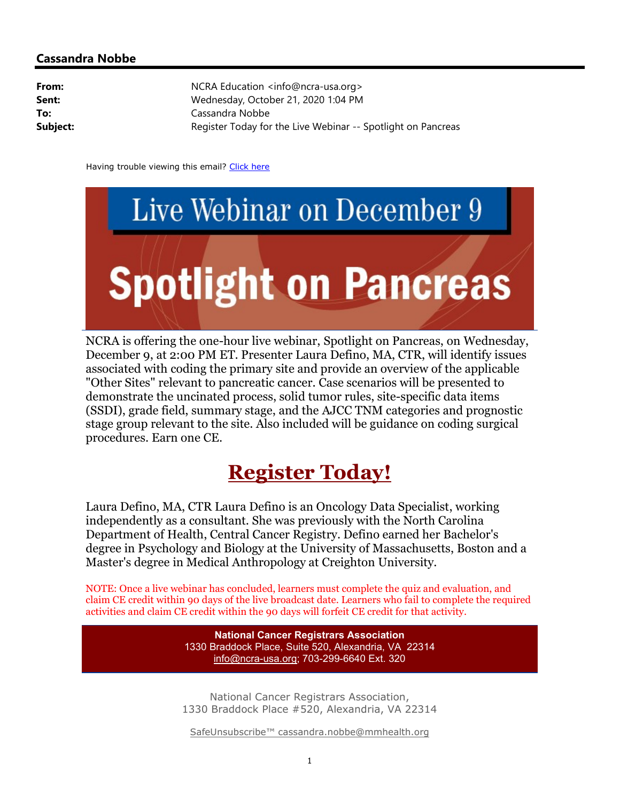## Cassandra Nobbe

| From:    | NCRA Education <info@ncra-usa.org></info@ncra-usa.org>       |
|----------|--------------------------------------------------------------|
| Sent:    | Wednesday, October 21, 2020 1:04 PM                          |
| To:      | Cassandra Nobbe                                              |
| Subject: | Register Today for the Live Webinar -- Spotlight on Pancreas |

Having trouble viewing this email? Click here



NCRA is offering the one-hour live webinar, Spotlight on Pancreas, on Wednesday, December 9, at 2:00 PM ET. Presenter Laura Defino, MA, CTR, will identify issues associated with coding the primary site and provide an overview of the applicable "Other Sites" relevant to pancreatic cancer. Case scenarios will be presented to demonstrate the uncinated process, solid tumor rules, site-specific data items (SSDI), grade field, summary stage, and the AJCC TNM categories and prognostic stage group relevant to the site. Also included will be guidance on coding surgical procedures. Earn one CE.

## Register Today!

Laura Defino, MA, CTR Laura Defino is an Oncology Data Specialist, working independently as a consultant. She was previously with the North Carolina Department of Health, Central Cancer Registry. Defino earned her Bachelor's degree in Psychology and Biology at the University of Massachusetts, Boston and a Master's degree in Medical Anthropology at Creighton University.

NOTE: Once a live webinar has concluded, learners must complete the quiz and evaluation, and claim CE credit within 90 days of the live broadcast date. Learners who fail to complete the required activities and claim CE credit within the 90 days will forfeit CE credit for that activity.

> National Cancer Registrars Association 1330 Braddock Place, Suite 520, Alexandria, VA 22314 info@ncra-usa.org; 703-299-6640 Ext. 320

National Cancer Registrars Association, 1330 Braddock Place #520, Alexandria, VA 22314

SafeUnsubscribe™ cassandra.nobbe@mmhealth.org